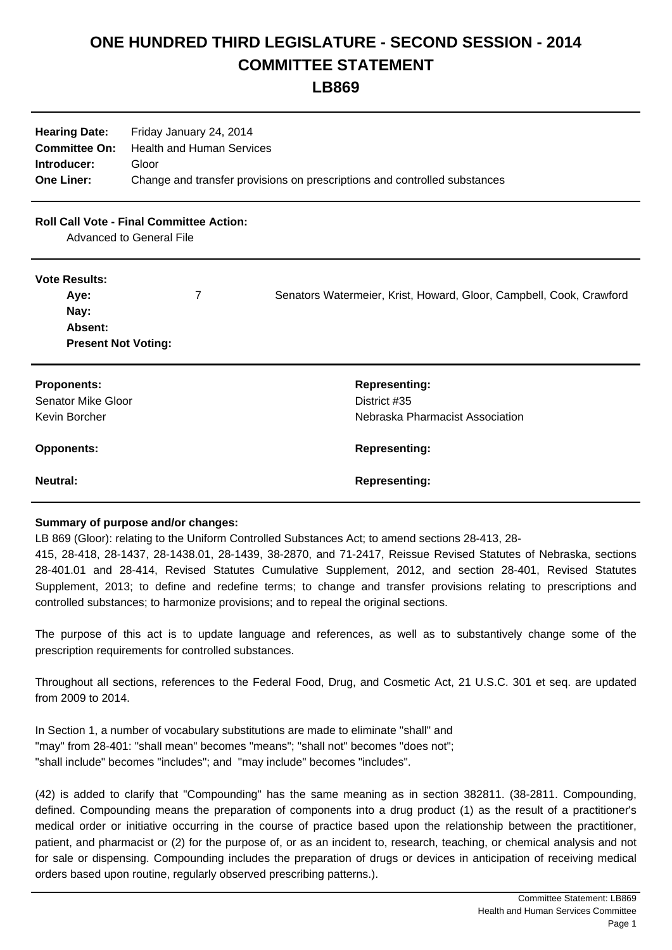## **ONE HUNDRED THIRD LEGISLATURE - SECOND SESSION - 2014 COMMITTEE STATEMENT**

**LB869**

| <b>Hearing Date:</b> | Friday January 24, 2014                                                   |
|----------------------|---------------------------------------------------------------------------|
|                      | <b>Committee On:</b> Health and Human Services                            |
| Introducer:          | Gloor                                                                     |
| <b>One Liner:</b>    | Change and transfer provisions on prescriptions and controlled substances |

## **Roll Call Vote - Final Committee Action:**

Advanced to General File

## **Vote Results:**

| Aye:                       | Senators Watermeier, Krist, Howard, Gloor, Campbell, Cook, Crawford |
|----------------------------|---------------------------------------------------------------------|
| Nay:                       |                                                                     |
| Absent:                    |                                                                     |
| <b>Present Not Voting:</b> |                                                                     |

| <b>Proponents:</b> | <b>Representing:</b>            |
|--------------------|---------------------------------|
| Senator Mike Gloor | District #35                    |
| Kevin Borcher      | Nebraska Pharmacist Association |
|                    |                                 |
| <b>Opponents:</b>  | <b>Representing:</b>            |

## **Summary of purpose and/or changes:**

LB 869 (Gloor): relating to the Uniform Controlled Substances Act; to amend sections 28-413, 28-

415, 28-418, 28-1437, 28-1438.01, 28-1439, 38-2870, and 71-2417, Reissue Revised Statutes of Nebraska, sections 28-401.01 and 28-414, Revised Statutes Cumulative Supplement, 2012, and section 28-401, Revised Statutes Supplement, 2013; to define and redefine terms; to change and transfer provisions relating to prescriptions and controlled substances; to harmonize provisions; and to repeal the original sections.

The purpose of this act is to update language and references, as well as to substantively change some of the prescription requirements for controlled substances.

Throughout all sections, references to the Federal Food, Drug, and Cosmetic Act, 21 U.S.C. 301 et seq. are updated from 2009 to 2014.

In Section 1, a number of vocabulary substitutions are made to eliminate "shall" and "may" from 28-401: "shall mean" becomes "means"; "shall not" becomes "does not"; "shall include" becomes "includes"; and "may include" becomes "includes".

(42) is added to clarify that "Compounding" has the same meaning as in section 382811. (38-2811. Compounding, defined. Compounding means the preparation of components into a drug product (1) as the result of a practitioner's medical order or initiative occurring in the course of practice based upon the relationship between the practitioner, patient, and pharmacist or (2) for the purpose of, or as an incident to, research, teaching, or chemical analysis and not for sale or dispensing. Compounding includes the preparation of drugs or devices in anticipation of receiving medical orders based upon routine, regularly observed prescribing patterns.).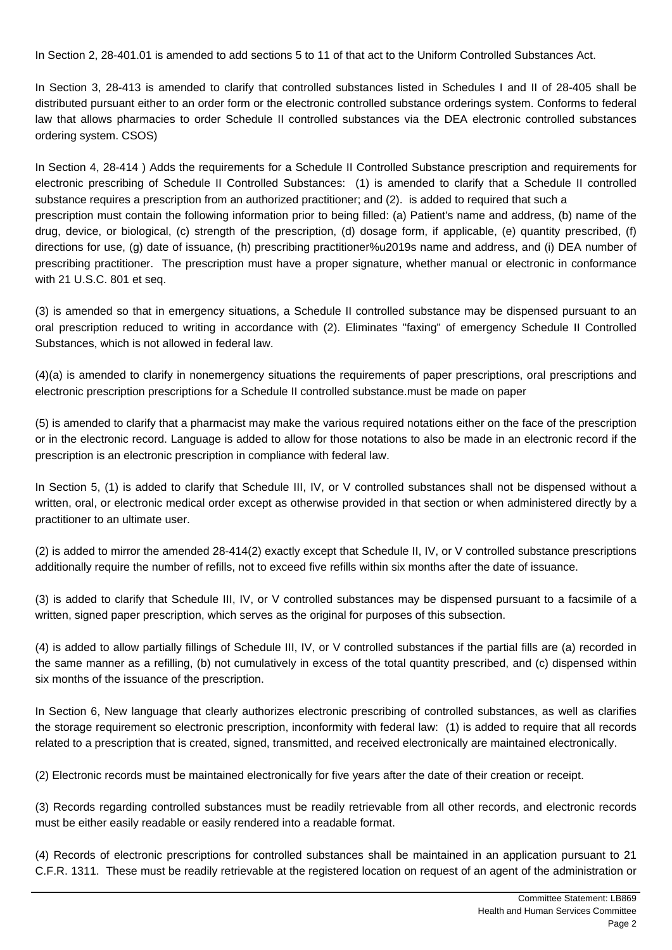In Section 2, 28-401.01 is amended to add sections 5 to 11 of that act to the Uniform Controlled Substances Act.

In Section 3, 28-413 is amended to clarify that controlled substances listed in Schedules I and II of 28-405 shall be distributed pursuant either to an order form or the electronic controlled substance orderings system. Conforms to federal law that allows pharmacies to order Schedule II controlled substances via the DEA electronic controlled substances ordering system. CSOS)

In Section 4, 28-414 ) Adds the requirements for a Schedule II Controlled Substance prescription and requirements for electronic prescribing of Schedule II Controlled Substances: (1) is amended to clarify that a Schedule II controlled substance requires a prescription from an authorized practitioner; and (2). is added to required that such a prescription must contain the following information prior to being filled: (a) Patient's name and address, (b) name of the drug, device, or biological, (c) strength of the prescription, (d) dosage form, if applicable, (e) quantity prescribed, (f) directions for use, (g) date of issuance, (h) prescribing practitioner%u2019s name and address, and (i) DEA number of prescribing practitioner. The prescription must have a proper signature, whether manual or electronic in conformance with 21 U.S.C. 801 et seq.

(3) is amended so that in emergency situations, a Schedule II controlled substance may be dispensed pursuant to an oral prescription reduced to writing in accordance with (2). Eliminates "faxing" of emergency Schedule II Controlled Substances, which is not allowed in federal law.

(4)(a) is amended to clarify in nonemergency situations the requirements of paper prescriptions, oral prescriptions and electronic prescription prescriptions for a Schedule II controlled substance.must be made on paper

(5) is amended to clarify that a pharmacist may make the various required notations either on the face of the prescription or in the electronic record. Language is added to allow for those notations to also be made in an electronic record if the prescription is an electronic prescription in compliance with federal law.

In Section 5, (1) is added to clarify that Schedule III, IV, or V controlled substances shall not be dispensed without a written, oral, or electronic medical order except as otherwise provided in that section or when administered directly by a practitioner to an ultimate user.

(2) is added to mirror the amended 28-414(2) exactly except that Schedule II, IV, or V controlled substance prescriptions additionally require the number of refills, not to exceed five refills within six months after the date of issuance.

(3) is added to clarify that Schedule III, IV, or V controlled substances may be dispensed pursuant to a facsimile of a written, signed paper prescription, which serves as the original for purposes of this subsection.

(4) is added to allow partially fillings of Schedule III, IV, or V controlled substances if the partial fills are (a) recorded in the same manner as a refilling, (b) not cumulatively in excess of the total quantity prescribed, and (c) dispensed within six months of the issuance of the prescription.

In Section 6, New language that clearly authorizes electronic prescribing of controlled substances, as well as clarifies the storage requirement so electronic prescription, inconformity with federal law: (1) is added to require that all records related to a prescription that is created, signed, transmitted, and received electronically are maintained electronically.

(2) Electronic records must be maintained electronically for five years after the date of their creation or receipt.

(3) Records regarding controlled substances must be readily retrievable from all other records, and electronic records must be either easily readable or easily rendered into a readable format.

(4) Records of electronic prescriptions for controlled substances shall be maintained in an application pursuant to 21 C.F.R. 1311. These must be readily retrievable at the registered location on request of an agent of the administration or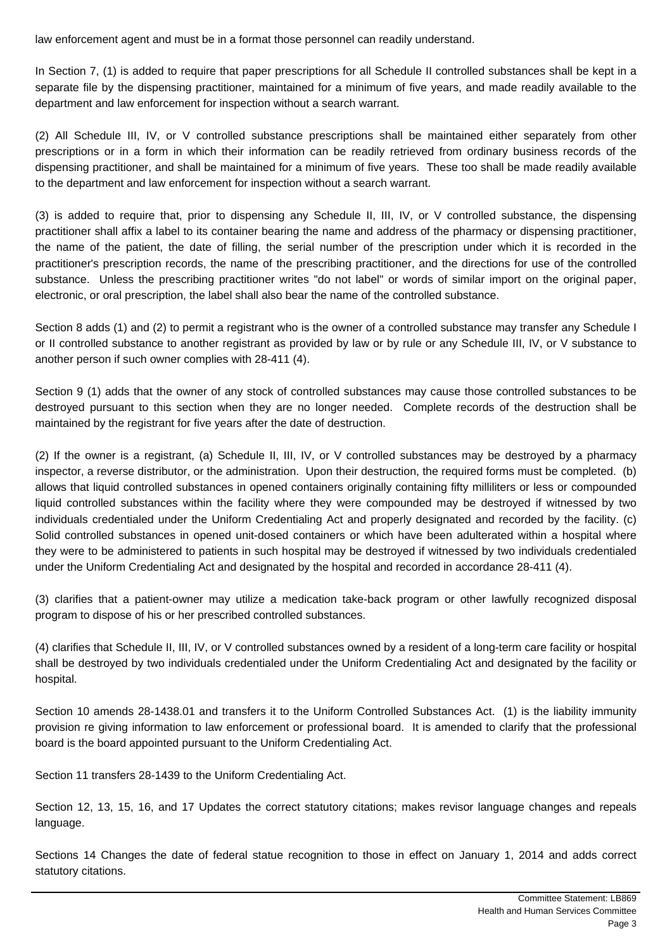law enforcement agent and must be in a format those personnel can readily understand.

In Section 7, (1) is added to require that paper prescriptions for all Schedule II controlled substances shall be kept in a separate file by the dispensing practitioner, maintained for a minimum of five years, and made readily available to the department and law enforcement for inspection without a search warrant.

(2) All Schedule III, IV, or V controlled substance prescriptions shall be maintained either separately from other prescriptions or in a form in which their information can be readily retrieved from ordinary business records of the dispensing practitioner, and shall be maintained for a minimum of five years. These too shall be made readily available to the department and law enforcement for inspection without a search warrant.

(3) is added to require that, prior to dispensing any Schedule II, III, IV, or V controlled substance, the dispensing practitioner shall affix a label to its container bearing the name and address of the pharmacy or dispensing practitioner, the name of the patient, the date of filling, the serial number of the prescription under which it is recorded in the practitioner's prescription records, the name of the prescribing practitioner, and the directions for use of the controlled substance. Unless the prescribing practitioner writes "do not label" or words of similar import on the original paper, electronic, or oral prescription, the label shall also bear the name of the controlled substance.

Section 8 adds (1) and (2) to permit a registrant who is the owner of a controlled substance may transfer any Schedule I or II controlled substance to another registrant as provided by law or by rule or any Schedule III, IV, or V substance to another person if such owner complies with 28-411 (4).

Section 9 (1) adds that the owner of any stock of controlled substances may cause those controlled substances to be destroyed pursuant to this section when they are no longer needed. Complete records of the destruction shall be maintained by the registrant for five years after the date of destruction.

(2) If the owner is a registrant, (a) Schedule II, III, IV, or V controlled substances may be destroyed by a pharmacy inspector, a reverse distributor, or the administration. Upon their destruction, the required forms must be completed. (b) allows that liquid controlled substances in opened containers originally containing fifty milliliters or less or compounded liquid controlled substances within the facility where they were compounded may be destroyed if witnessed by two individuals credentialed under the Uniform Credentialing Act and properly designated and recorded by the facility. (c) Solid controlled substances in opened unit-dosed containers or which have been adulterated within a hospital where they were to be administered to patients in such hospital may be destroyed if witnessed by two individuals credentialed under the Uniform Credentialing Act and designated by the hospital and recorded in accordance 28-411 (4).

(3) clarifies that a patient-owner may utilize a medication take-back program or other lawfully recognized disposal program to dispose of his or her prescribed controlled substances.

(4) clarifies that Schedule II, III, IV, or V controlled substances owned by a resident of a long-term care facility or hospital shall be destroyed by two individuals credentialed under the Uniform Credentialing Act and designated by the facility or hospital.

Section 10 amends 28-1438.01 and transfers it to the Uniform Controlled Substances Act. (1) is the liability immunity provision re giving information to law enforcement or professional board. It is amended to clarify that the professional board is the board appointed pursuant to the Uniform Credentialing Act.

Section 11 transfers 28-1439 to the Uniform Credentialing Act.

Section 12, 13, 15, 16, and 17 Updates the correct statutory citations; makes revisor language changes and repeals language.

Sections 14 Changes the date of federal statue recognition to those in effect on January 1, 2014 and adds correct statutory citations.